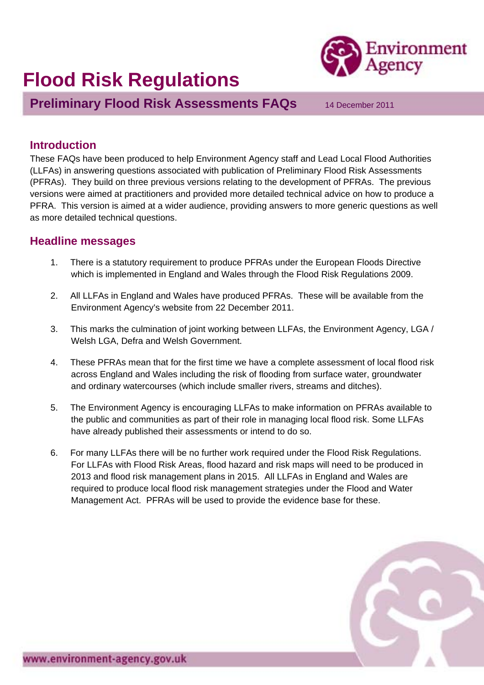# **Flood Risk Regulations**



**Preliminary Flood Risk Assessments FAQs** 14 December 2011

# **Introduction**

These FAQs have been produced to help Environment Agency staff and Lead Local Flood Authorities (LLFAs) in answering questions associated with publication of Preliminary Flood Risk Assessments (PFRAs). They build on three previous versions relating to the development of PFRAs. The previous versions were aimed at practitioners and provided more detailed technical advice on how to produce a PFRA. This version is aimed at a wider audience, providing answers to more generic questions as well as more detailed technical questions.

## **Headline messages**

- 1. There is a statutory requirement to produce PFRAs under the European Floods Directive which is implemented in England and Wales through the Flood Risk Regulations 2009.
- 2. All LLFAs in England and Wales have produced PFRAs. These will be available from the Environment Agency's website from 22 December 2011.
- 3. This marks the culmination of joint working between LLFAs, the Environment Agency, LGA / Welsh LGA, Defra and Welsh Government.
- 4. These PFRAs mean that for the first time we have a complete assessment of local flood risk across England and Wales including the risk of flooding from surface water, groundwater and ordinary watercourses (which include smaller rivers, streams and ditches).
- 5. The Environment Agency is encouraging LLFAs to make information on PFRAs available to the public and communities as part of their role in managing local flood risk. Some LLFAs have already published their assessments or intend to do so.
- 6. For many LLFAs there will be no further work required under the Flood Risk Regulations. For LLFAs with Flood Risk Areas, flood hazard and risk maps will need to be produced in 2013 and flood risk management plans in 2015. All LLFAs in England and Wales are required to produce local flood risk management strategies under the Flood and Water Management Act. PFRAs will be used to provide the evidence base for these.

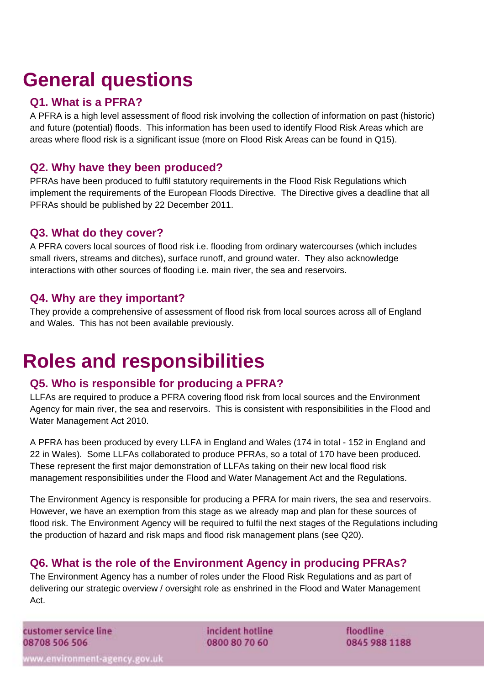# **General questions**

# **Q1. What is a PFRA?**

A PFRA is a high level assessment of flood risk involving the collection of information on past (historic) and future (potential) floods. This information has been used to identify Flood Risk Areas which are areas where flood risk is a significant issue (more on Flood Risk Areas can be found in Q15).

# **Q2. Why have they been produced?**

PFRAs have been produced to fulfil statutory requirements in the Flood Risk Regulations which implement the requirements of the European Floods Directive. The Directive gives a deadline that all PFRAs should be published by 22 December 2011.

## **Q3. What do they cover?**

A PFRA covers local sources of flood risk i.e. flooding from ordinary watercourses (which includes small rivers, streams and ditches), surface runoff, and ground water. They also acknowledge interactions with other sources of flooding i.e. main river, the sea and reservoirs.

# **Q4. Why are they important?**

They provide a comprehensive of assessment of flood risk from local sources across all of England and Wales. This has not been available previously.

# **Roles and responsibilities**

# **Q5. Who is responsible for producing a PFRA?**

LLFAs are required to produce a PFRA covering flood risk from local sources and the Environment Agency for main river, the sea and reservoirs. This is consistent with responsibilities in the Flood and Water Management Act 2010.

A PFRA has been produced by every LLFA in England and Wales (174 in total - 152 in England and 22 in Wales). Some LLFAs collaborated to produce PFRAs, so a total of 170 have been produced. These represent the first major demonstration of LLFAs taking on their new local flood risk management responsibilities under the Flood and Water Management Act and the Regulations.

The Environment Agency is responsible for producing a PFRA for main rivers, the sea and reservoirs. However, we have an exemption from this stage as we already map and plan for these sources of flood risk. The Environment Agency will be required to fulfil the next stages of the Regulations including the production of hazard and risk maps and flood risk management plans (see Q20).

# **Q6. What is the role of the Environment Agency in producing PFRAs?**

The Environment Agency has a number of roles under the Flood Risk Regulations and as part of delivering our strategic overview / oversight role as enshrined in the Flood and Water Management Act.

customer service line 08708 506 506

incident hotline 0800 80 70 60

floodline 0845 988 1188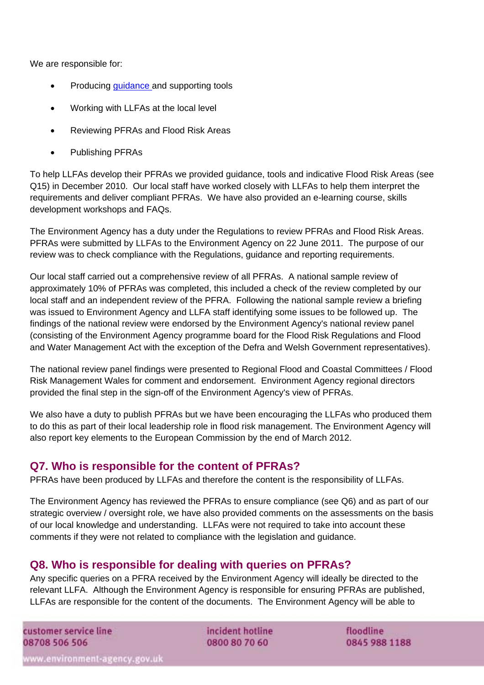We are responsible for:

- Producing [guidance a](http://www.environment-agency.gov.uk/research/planning/125459.aspx)nd supporting tools
- Working with LLFAs at the local level
- Reviewing PFRAs and Flood Risk Areas
- Publishing PFRAs

To help LLFAs develop their PFRAs we provided guidance, tools and indicative Flood Risk Areas (see Q15) in December 2010. Our local staff have worked closely with LLFAs to help them interpret the requirements and deliver compliant PFRAs. We have also provided an e-learning course, skills development workshops and FAQs.

The Environment Agency has a duty under the Regulations to review PFRAs and Flood Risk Areas. PFRAs were submitted by LLFAs to the Environment Agency on 22 June 2011. The purpose of our review was to check compliance with the Regulations, guidance and reporting requirements.

Our local staff carried out a comprehensive review of all PFRAs. A national sample review of approximately 10% of PFRAs was completed, this included a check of the review completed by our local staff and an independent review of the PFRA. Following the national sample review a briefing was issued to Environment Agency and LLFA staff identifying some issues to be followed up. The findings of the national review were endorsed by the Environment Agency's national review panel (consisting of the Environment Agency programme board for the Flood Risk Regulations and Flood and Water Management Act with the exception of the Defra and Welsh Government representatives).

The national review panel findings were presented to Regional Flood and Coastal Committees / Flood Risk Management Wales for comment and endorsement. Environment Agency regional directors provided the final step in the sign-off of the Environment Agency's view of PFRAs.

We also have a duty to publish PFRAs but we have been encouraging the LLFAs who produced them to do this as part of their local leadership role in flood risk management. The Environment Agency will also report key elements to the European Commission by the end of March 2012.

#### **Q7. Who is responsible for the content of PFRAs?**

PFRAs have been produced by LLFAs and therefore the content is the responsibility of LLFAs.

The Environment Agency has reviewed the PFRAs to ensure compliance (see Q6) and as part of our strategic overview / oversight role, we have also provided comments on the assessments on the basis of our local knowledge and understanding. LLFAs were not required to take into account these comments if they were not related to compliance with the legislation and guidance.

### **Q8. Who is responsible for dealing with queries on PFRAs?**

Any specific queries on a PFRA received by the Environment Agency will ideally be directed to the relevant LLFA. Although the Environment Agency is responsible for ensuring PFRAs are published, LLFAs are responsible for the content of the documents. The Environment Agency will be able to

customer service line 08708 506 506

incident hotline 0800 80 70 60

floodline 0845 988 1188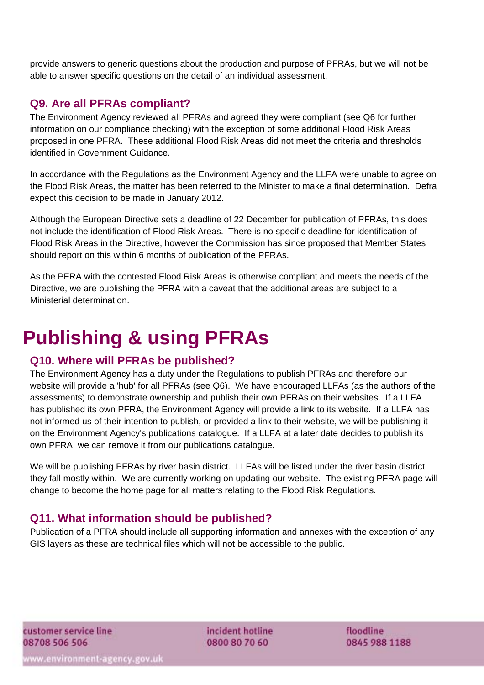provide answers to generic questions about the production and purpose of PFRAs, but we will not be able to answer specific questions on the detail of an individual assessment.

### **Q9. Are all PFRAs compliant?**

The Environment Agency reviewed all PFRAs and agreed they were compliant (see Q6 for further information on our compliance checking) with the exception of some additional Flood Risk Areas proposed in one PFRA. These additional Flood Risk Areas did not meet the criteria and thresholds identified in Government Guidance.

In accordance with the Regulations as the Environment Agency and the LLFA were unable to agree on the Flood Risk Areas, the matter has been referred to the Minister to make a final determination. Defra expect this decision to be made in January 2012.

Although the European Directive sets a deadline of 22 December for publication of PFRAs, this does not include the identification of Flood Risk Areas. There is no specific deadline for identification of Flood Risk Areas in the Directive, however the Commission has since proposed that Member States should report on this within 6 months of publication of the PFRAs.

As the PFRA with the contested Flood Risk Areas is otherwise compliant and meets the needs of the Directive, we are publishing the PFRA with a caveat that the additional areas are subject to a Ministerial determination.

# **Publishing & using PFRAs**

### **Q10. Where will PFRAs be published?**

The Environment Agency has a duty under the Regulations to publish PFRAs and therefore our website will provide a 'hub' for all PFRAs (see Q6). We have encouraged LLFAs (as the authors of the assessments) to demonstrate ownership and publish their own PFRAs on their websites. If a LLFA has published its own PFRA, the Environment Agency will provide a link to its website. If a LLFA has not informed us of their intention to publish, or provided a link to their website, we will be publishing it on the Environment Agency's publications catalogue. If a LLFA at a later date decides to publish its own PFRA, we can remove it from our publications catalogue.

We will be publishing PFRAs by river basin district. LLFAs will be listed under the river basin district they fall mostly within. We are currently working on updating our website. The existing PFRA page will change to become the home page for all matters relating to the Flood Risk Regulations.

# **Q11. What information should be published?**

Publication of a PFRA should include all supporting information and annexes with the exception of any GIS layers as these are technical files which will not be accessible to the public.

incident hotline 0800 80 70 60

floodline 0845 988 1188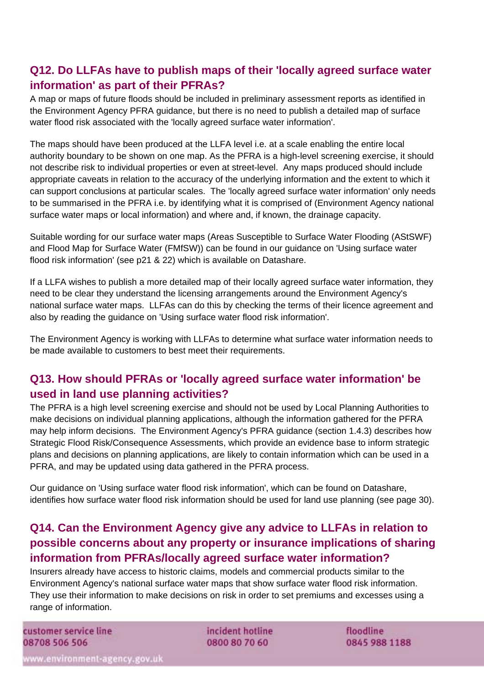# **Q12. Do LLFAs have to publish maps of their 'locally agreed surface water information' as part of their PFRAs?**

A map or maps of future floods should be included in preliminary assessment reports as identified in the Environment Agency PFRA guidance, but there is no need to publish a detailed map of surface water flood risk associated with the 'locally agreed surface water information'.

The maps should have been produced at the LLFA level i.e. at a scale enabling the entire local authority boundary to be shown on one map. As the PFRA is a high-level screening exercise, it should not describe risk to individual properties or even at street-level. Any maps produced should include appropriate caveats in relation to the accuracy of the underlying information and the extent to which it can support conclusions at particular scales. The 'locally agreed surface water information' only needs to be summarised in the PFRA i.e. by identifying what it is comprised of (Environment Agency national surface water maps or local information) and where and, if known, the drainage capacity.

Suitable wording for our surface water maps (Areas Susceptible to Surface Water Flooding (AStSWF) and Flood Map for Surface Water (FMfSW)) can be found in our guidance on 'Using surface water flood risk information' (see p21 & 22) which is available on Datashare.

If a LLFA wishes to publish a more detailed map of their locally agreed surface water information, they need to be clear they understand the licensing arrangements around the Environment Agency's national surface water maps. LLFAs can do this by checking the terms of their licence agreement and also by reading the guidance on 'Using surface water flood risk information'.

The Environment Agency is working with LLFAs to determine what surface water information needs to be made available to customers to best meet their requirements.

# **Q13. How should PFRAs or 'locally agreed surface water information' be used in land use planning activities?**

The PFRA is a high level screening exercise and should not be used by Local Planning Authorities to make decisions on individual planning applications, although the information gathered for the PFRA may help inform decisions. The Environment Agency's PFRA guidance (section 1.4.3) describes how Strategic Flood Risk/Consequence Assessments, which provide an evidence base to inform strategic plans and decisions on planning applications, are likely to contain information which can be used in a PFRA, and may be updated using data gathered in the PFRA process.

Our guidance on 'Using surface water flood risk information', which can be found on Datashare, identifies how surface water flood risk information should be used for land use planning (see page 30).

# **Q14. Can the Environment Agency give any advice to LLFAs in relation to possible concerns about any property or insurance implications of sharing information from PFRAs/locally agreed surface water information?**

Insurers already have access to historic claims, models and commercial products similar to the Environment Agency's national surface water maps that show surface water flood risk information. They use their information to make decisions on risk in order to set premiums and excesses using a range of information.

customer service line 08708 506 506

incident hotline 0800 80 70 60

floodline 0845 988 1188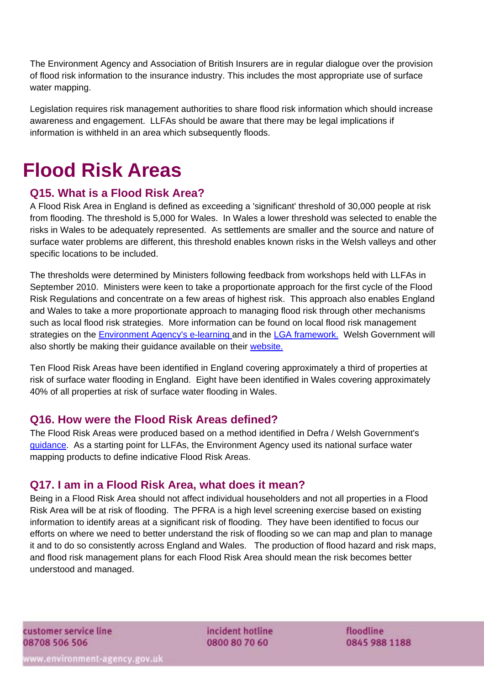The Environment Agency and Association of British Insurers are in regular dialogue over the provision of flood risk information to the insurance industry. This includes the most appropriate use of surface water mapping.

Legislation requires risk management authorities to share flood risk information which should increase awareness and engagement. LLFAs should be aware that there may be legal implications if information is withheld in an area which subsequently floods.

# **Flood Risk Areas**

## **Q15. What is a Flood Risk Area?**

A Flood Risk Area in England is defined as exceeding a 'significant' threshold of 30,000 people at risk from flooding. The threshold is 5,000 for Wales. In Wales a lower threshold was selected to enable the risks in Wales to be adequately represented. As settlements are smaller and the source and nature of surface water problems are different, this threshold enables known risks in the Welsh valleys and other specific locations to be included.

The thresholds were determined by Ministers following feedback from workshops held with LLFAs in September 2010. Ministers were keen to take a proportionate approach for the first cycle of the Flood Risk Regulations and concentrate on a few areas of highest risk. This approach also enables England and Wales to take a more proportionate approach to managing flood risk through other mechanisms such as local flood risk strategies. More information can be found on local flood risk management strategies on the [Environment Agency's e-learning](http://learning.environment-agency.gov.uk/courses/FCRM/capacity/lfs/) and in the [LGA framework.](http://www.local.gov.uk/web/10161/topic-climate-change/-/journal_content/56/10161/3189331/ARTICLE-TEMPLATE) Welsh Government will also shortly be making their guidance available on their [website.](http://wales.gov.uk/topics/environmentcountryside/epq/waterflooding/flooding/?lang=en)

Ten Flood Risk Areas have been identified in England covering approximately a third of properties at risk of surface water flooding in England. Eight have been identified in Wales covering approximately 40% of all properties at risk of surface water flooding in Wales.

### **Q16. How were the Flood Risk Areas defined?**

The Flood Risk Areas were produced based on a method identified in Defra / Welsh Government's [guidance.](http://archive.defra.gov.uk/environment/flooding/documents/interim2/flood-risk-method.pdf) As a starting point for LLFAs, the Environment Agency used its national surface water mapping products to define indicative Flood Risk Areas.

### **Q17. I am in a Flood Risk Area, what does it mean?**

Being in a Flood Risk Area should not affect individual householders and not all properties in a Flood Risk Area will be at risk of flooding. The PFRA is a high level screening exercise based on existing information to identify areas at a significant risk of flooding. They have been identified to focus our efforts on where we need to better understand the risk of flooding so we can map and plan to manage it and to do so consistently across England and Wales. The production of flood hazard and risk maps, and flood risk management plans for each Flood Risk Area should mean the risk becomes better understood and managed.

incident hotline 0800 80 70 60

floodline 0845 988 1188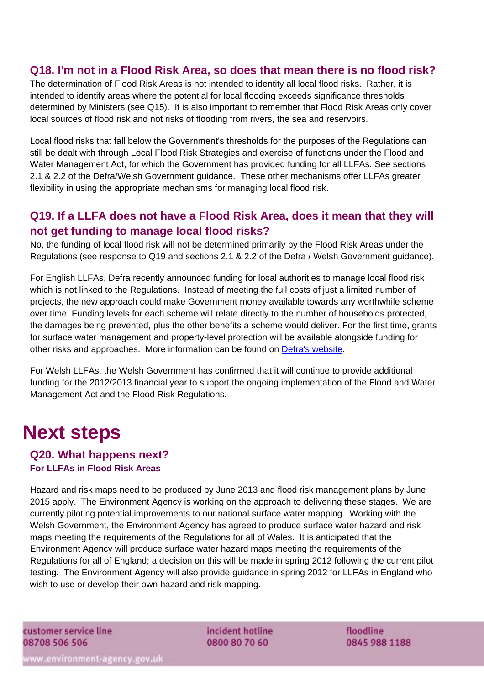## **Q18. I'm not in a Flood Risk Area, so does that mean there is no flood risk?**

The determination of Flood Risk Areas is not intended to identity all local flood risks. Rather, it is intended to identify areas where the potential for local flooding exceeds significance thresholds determined by Ministers (see Q15). It is also important to remember that Flood Risk Areas only cover local sources of flood risk and not risks of flooding from rivers, the sea and reservoirs.

Local flood risks that fall below the Government's thresholds for the purposes of the Regulations can still be dealt with through Local Flood Risk Strategies and exercise of functions under the Flood and Water Management Act, for which the Government has provided funding for all LLFAs. See sections 2.1 & 2.2 of the Defra/Welsh Government guidance. These other mechanisms offer LLFAs greater flexibility in using the appropriate mechanisms for managing local flood risk.

# **Q19. If a LLFA does not have a Flood Risk Area, does it mean that they will not get funding to manage local flood risks?**

No, the funding of local flood risk will not be determined primarily by the Flood Risk Areas under the Regulations (see response to Q19 and sections 2.1 & 2.2 of the Defra / Welsh Government guidance).

For English LLFAs, Defra recently announced funding for local authorities to manage local flood risk which is not linked to the Regulations. Instead of meeting the full costs of just a limited number of projects, the new approach could make Government money available towards any worthwhile scheme over time. Funding levels for each scheme will relate directly to the number of households protected, the damages being prevented, plus the other benefits a scheme would deliver. For the first time, grants for surface water management and property-level protection will be available alongside funding for other risks and approaches. More information can be found on [Defra's website](http://www.defra.gov.uk/environment/flooding/funding-outcomes-insurance/funding/).

For Welsh LLFAs, the Welsh Government has confirmed that it will continue to provide additional funding for the 2012/2013 financial year to support the ongoing implementation of the Flood and Water Management Act and the Flood Risk Regulations.

# **Next steps**

#### **Q20. What happens next? For LLFAs in Flood Risk Areas**

Hazard and risk maps need to be produced by June 2013 and flood risk management plans by June 2015 apply. The Environment Agency is working on the approach to delivering these stages. We are currently piloting potential improvements to our national surface water mapping. Working with the Welsh Government, the Environment Agency has agreed to produce surface water hazard and risk maps meeting the requirements of the Regulations for all of Wales. It is anticipated that the Environment Agency will produce surface water hazard maps meeting the requirements of the Regulations for all of England; a decision on this will be made in spring 2012 following the current pilot testing. The Environment Agency will also provide guidance in spring 2012 for LLFAs in England who wish to use or develop their own hazard and risk mapping.

customer service line 08708 506 506

incident hotline 0800 80 70 60

floodline 0845 988 1188